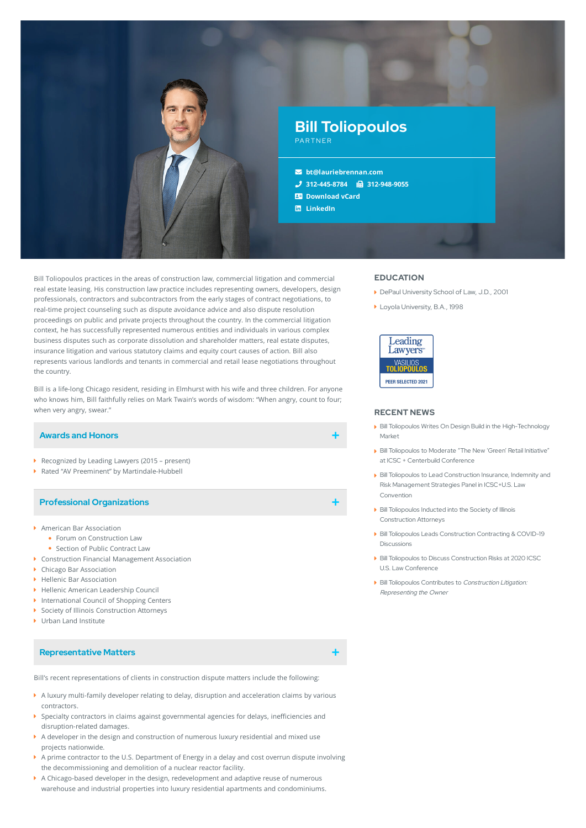

Bill Toliopoulos practices in the areas of construction law, commercial litigation and commercial real estate leasing. His construction law practice includes representing owners, developers, design professionals, contractors and subcontractors from the early stages of contract negotiations, to real-time project counseling such as dispute avoidance advice and also dispute resolution proceedings on public and private projects throughout the country. In the commercial litigation context, he has successfully represented numerous entities and individuals in various complex business disputes such as corporate dissolution and shareholder matters, real estate disputes, insurance litigation and various statutory claims and equity court causes of action. Bill also represents various landlords and tenants in commercial and retail lease negotiations throughout the country.

Bill is a life-long Chicago resident, residing in Elmhurst with his wife and three children. For anyone who knows him, Bill faithfully relies on Mark Twain's words of wisdom: "When angry, count to four; when very angry, swear."

### **Awards and Honors**

- ▶ Recognized by Leading Lawyers (2015 present)
- Rated "AV Preeminent" by Martindale-Hubbell

### **Professional Organizations**

- American Bar Association
	- Forum on Construction Law
	- Section of Public Contract Law
- Construction Financial Management Association
- ▶ Chicago Bar Association
- Hellenic Bar Association
- Hellenic American Leadership Council
- **International Council of Shopping Centers**
- ▶ Society of Illinois Construction Attorneys
- ▶ Urban Land Institute

### **Representative Matters**

Bill's recent representations of clients in construction dispute matters include the following:

- A luxury multi-family developer relating to delay, disruption and acceleration claims by various contractors.
- $\blacktriangleright$  Specialty contractors in claims against governmental agencies for delays, inefficiencies and disruption-related damages.
- $\blacktriangleright$  A developer in the design and construction of numerous luxury residential and mixed use projects nationwide.
- A prime contractor to the U.S. Department of Energy in a delay and cost overrun dispute involving the decommissioning and demolition of a nuclear reactor facility.
- A Chicago-based developer in the design, redevelopment and adaptive reuse of numerous warehouse and industrial properties into luxury residential apartments and condominiums.

### **EDUCATION**

- ▶ DePaul University School of Law, J.D., 2001
- ▶ Loyola University, B.A., 1998



#### **RECENT NEWS**

- Bill Toliopoulos Writes On Design Build in the [High-Technology](https://www.lauriebrennan.com/blog/bill-toliopoulos-writes-on-design-build-in-the-high-technology-market/) Market
- Bill Toliopoulos to Moderate "The New 'Green' Retail Initiative" at ICSC + Centerbuild [Conference](https://www.lauriebrennan.com/blog/bill-toliopoulos-to-present-at-second-icsc-conference/)
- Bill Toliopoulos to Lead Construction Insurance, Indemnity and Risk [Management](https://www.lauriebrennan.com/blog/laurie-brennan-partner-bill-toliopoulos-to-present-at-icscu-s-law-conference/) Strategies Panel in ICSC+U.S. Law Convention
- Bill Toliopoulos Inducted into the Society of Illinois [Construction](https://www.lauriebrennan.com/blog/bill-toliopoulos-inducted-into-the-society-of-illinois-construction-attorneys/) Attorneys
- Bill Toliopoulos Leads [Construction](https://www.lauriebrennan.com/blog/bill-toliopoulos-is-leading-the-discussion-on-construction-contracting-covid/) Contracting & COVID-19 Discussions
- Bill Toliopoulos to Discuss [Construction](https://www.lauriebrennan.com/blog/bill-toliopoulos-to-present-on-construction-risks-at-2020-icsc-u-s-law-conference/) Risks at 2020 ICSC U.S. Law Conference
- **Bill Toliopoulos Contributes to Construction Litigation:** [Representing](https://www.lauriebrennan.com/blog/bill-toliopoulos-contributes-to-new-publication-construction-litigation-representing-the-owner/) the Owner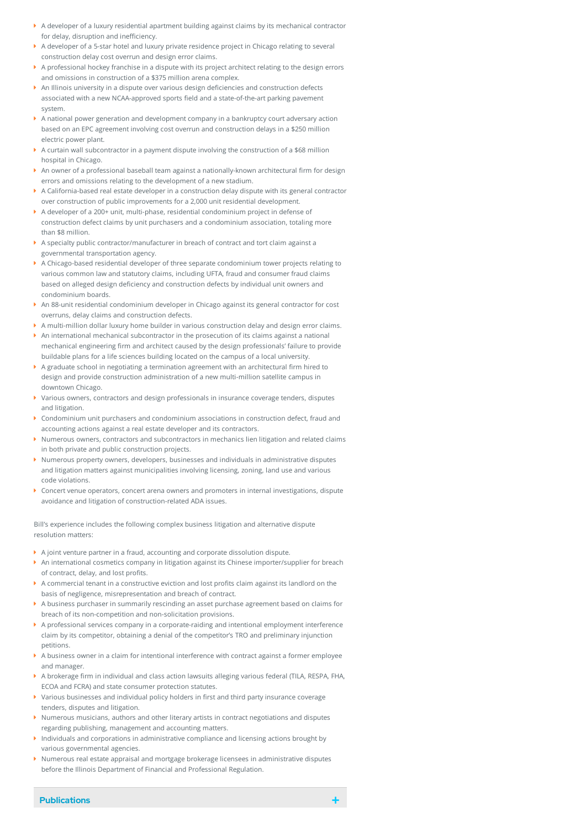- A developer of a luxury residential apartment building against claims by its mechanical contractor for delay, disruption and inefficiency.
- A developer of a 5-star hotel and luxury private residence project in Chicago relating to several construction delay cost overrun and design error claims.
- A professional hockey franchise in a dispute with its project architect relating to the design errors and omissions in construction of a \$375 million arena complex.
- $\blacktriangleright$  An Illinois university in a dispute over various design deficiencies and construction defects associated with a new NCAA-approved sports field and a state-of-the-art parking pavement system.
- A national power generation and development company in a bankruptcy court adversary action based on an EPC agreement involving cost overrun and construction delays in a \$250 million electric power plant.
- A curtain wall subcontractor in a payment dispute involving the construction of a \$68 million hospital in Chicago.
- $\blacktriangleright$  An owner of a professional baseball team against a nationally-known architectural firm for design errors and omissions relating to the development of a new stadium.
- A California-based real estate developer in a construction delay dispute with its general contractor over construction of public improvements for a 2,000 unit residential development.
- A developer of a 200+ unit, multi-phase, residential condominium project in defense of construction defect claims by unit purchasers and a condominium association, totaling more than \$8 million.
- A specialty public contractor/manufacturer in breach of contract and tort claim against a governmental transportation agency.
- A Chicago-based residential developer of three separate condominium tower projects relating to various common law and statutory claims, including UFTA, fraud and consumer fraud claims based on alleged design deficiency and construction defects by individual unit owners and condominium boards.
- An 88-unit residential condominium developer in Chicago against its general contractor for cost overruns, delay claims and construction defects.
- A multi-million dollar luxury home builder in various construction delay and design error claims.
- $\blacktriangleright$  An international mechanical subcontractor in the prosecution of its claims against a national mechanical engineering firm and architect caused by the design professionals' failure to provide buildable plans for a life sciences building located on the campus of a local university.
- $\blacktriangleright$  A graduate school in negotiating a termination agreement with an architectural firm hired to design and provide construction administration of a new multi-million satellite campus in downtown Chicago.
- Various owners, contractors and design professionals in insurance coverage tenders, disputes and litigation.
- Condominium unit purchasers and condominium associations in construction defect, fraud and accounting actions against a real estate developer and its contractors.
- Numerous owners, contractors and subcontractors in mechanics lien litigation and related claims in both private and public construction projects.
- Numerous property owners, developers, businesses and individuals in administrative disputes and litigation matters against municipalities involving licensing, zoning, land use and various code violations.
- Concert venue operators, concert arena owners and promoters in internal investigations, dispute avoidance and litigation of construction-related ADA issues.

Bill's experience includes the following complex business litigation and alternative dispute resolution matters:

- A joint venture partner in a fraud, accounting and corporate dissolution dispute.
- $\blacktriangleright$  An international cosmetics company in litigation against its Chinese importer/supplier for breach of contract, delay, and lost profits.
- $\blacktriangleright$  A commercial tenant in a constructive eviction and lost profits claim against its landlord on the basis of negligence, misrepresentation and breach of contract.
- A business purchaser in summarily rescinding an asset purchase agreement based on claims for breach of its non-competition and non-solicitation provisions.
- A professional services company in a corporate-raiding and intentional employment interference claim by its competitor, obtaining a denial of the competitor's TRO and preliminary injunction petitions.
- A business owner in a claim for intentional interference with contract against a former employee and manager.
- $\blacktriangleright$  A brokerage firm in individual and class action lawsuits alleging various federal (TILA, RESPA, FHA, ECOA and FCRA) and state consumer protection statutes.
- $\blacktriangleright$  Various businesses and individual policy holders in first and third party insurance coverage tenders, disputes and litigation.
- $\blacktriangleright$  Numerous musicians, authors and other literary artists in contract negotiations and disputes regarding publishing, management and accounting matters.
- Individuals and corporations in administrative compliance and licensing actions brought by various governmental agencies.
- Numerous real estate appraisal and mortgage brokerage licensees in administrative disputes before the Illinois Department of Financial and Professional Regulation.